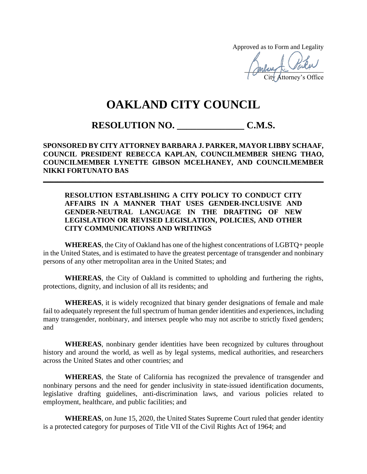Approved as to Form and Legality

mong to bone City Attorney's Office

## **OAKLAND CITY COUNCIL**

## **RESOLUTION NO. \_\_\_\_\_\_\_\_\_\_\_\_\_\_ C.M.S.**

**SPONSORED BY CITY ATTORNEY BARBARA J. PARKER, MAYOR LIBBY SCHAAF, COUNCIL PRESIDENT REBECCA KAPLAN, COUNCILMEMBER SHENG THAO, COUNCILMEMBER LYNETTE GIBSON MCELHANEY, AND COUNCILMEMBER NIKKI FORTUNATO BAS**

**\_\_\_\_\_\_\_\_\_\_\_\_\_\_\_\_\_\_\_\_\_\_\_\_\_\_\_\_\_\_\_\_\_\_\_\_\_\_\_\_\_\_\_\_\_\_\_\_\_\_\_\_\_\_\_\_\_\_\_\_\_\_\_\_\_\_\_\_\_\_\_\_\_\_\_\_\_\_**

## **RESOLUTION ESTABLISHING A CITY POLICY TO CONDUCT CITY AFFAIRS IN A MANNER THAT USES GENDER-INCLUSIVE AND GENDER-NEUTRAL LANGUAGE IN THE DRAFTING OF NEW LEGISLATION OR REVISED LEGISLATION, POLICIES, AND OTHER CITY COMMUNICATIONS AND WRITINGS**

**WHEREAS**, the City of Oakland has one of the highest concentrations of LGBTQ+ people in the United States, and is estimated to have the greatest percentage of transgender and nonbinary persons of any other metropolitan area in the United States; and

**WHEREAS**, the City of Oakland is committed to upholding and furthering the rights, protections, dignity, and inclusion of all its residents; and

**WHEREAS**, it is widely recognized that binary gender designations of female and male fail to adequately represent the full spectrum of human gender identities and experiences, including many transgender, nonbinary, and intersex people who may not ascribe to strictly fixed genders; and

**WHEREAS**, nonbinary gender identities have been recognized by cultures throughout history and around the world, as well as by legal systems, medical authorities, and researchers across the United States and other countries; and

**WHEREAS**, the State of California has recognized the prevalence of transgender and nonbinary persons and the need for gender inclusivity in state-issued identification documents, legislative drafting guidelines, anti-discrimination laws, and various policies related to employment, healthcare, and public facilities; and

**WHEREAS**, on June 15, 2020, the United States Supreme Court ruled that gender identity is a protected category for purposes of Title VII of the Civil Rights Act of 1964; and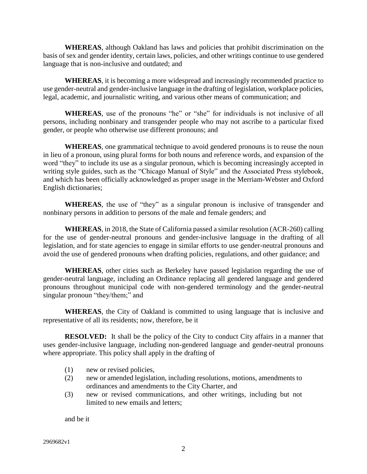**WHEREAS**, although Oakland has laws and policies that prohibit discrimination on the basis of sex and gender identity, certain laws, policies, and other writings continue to use gendered language that is non-inclusive and outdated; and

**WHEREAS**, it is becoming a more widespread and increasingly recommended practice to use gender-neutral and gender-inclusive language in the drafting of legislation, workplace policies, legal, academic, and journalistic writing, and various other means of communication; and

**WHEREAS**, use of the pronouns "he" or "she" for individuals is not inclusive of all persons, including nonbinary and transgender people who may not ascribe to a particular fixed gender, or people who otherwise use different pronouns; and

**WHEREAS**, one grammatical technique to avoid gendered pronouns is to reuse the noun in lieu of a pronoun, using plural forms for both nouns and reference words, and expansion of the word "they" to include its use as a singular pronoun, which is becoming increasingly accepted in writing style guides, such as the "Chicago Manual of Style" and the Associated Press stylebook, and which has been officially acknowledged as proper usage in the Merriam-Webster and Oxford English dictionaries;

**WHEREAS**, the use of "they" as a singular pronoun is inclusive of transgender and nonbinary persons in addition to persons of the male and female genders; and

**WHEREAS**, in 2018, the State of California passed a similar resolution (ACR-260) calling for the use of gender-neutral pronouns and gender-inclusive language in the drafting of all legislation, and for state agencies to engage in similar efforts to use gender-neutral pronouns and avoid the use of gendered pronouns when drafting policies, regulations, and other guidance; and

**WHEREAS**, other cities such as Berkeley have passed legislation regarding the use of gender-neutral language, including an Ordinance replacing all gendered language and gendered pronouns throughout municipal code with non-gendered terminology and the gender-neutral singular pronoun "they/them;" and

**WHEREAS**, the City of Oakland is committed to using language that is inclusive and representative of all its residents; now, therefore, be it

**RESOLVED:** It shall be the policy of the City to conduct City affairs in a manner that uses gender-inclusive language, including non-gendered language and gender-neutral pronouns where appropriate. This policy shall apply in the drafting of

- (1) new or revised policies,
- (2) new or amended legislation, including resolutions, motions, amendments to ordinances and amendments to the City Charter, and
- (3) new or revised communications, and other writings, including but not limited to new emails and letters;

and be it